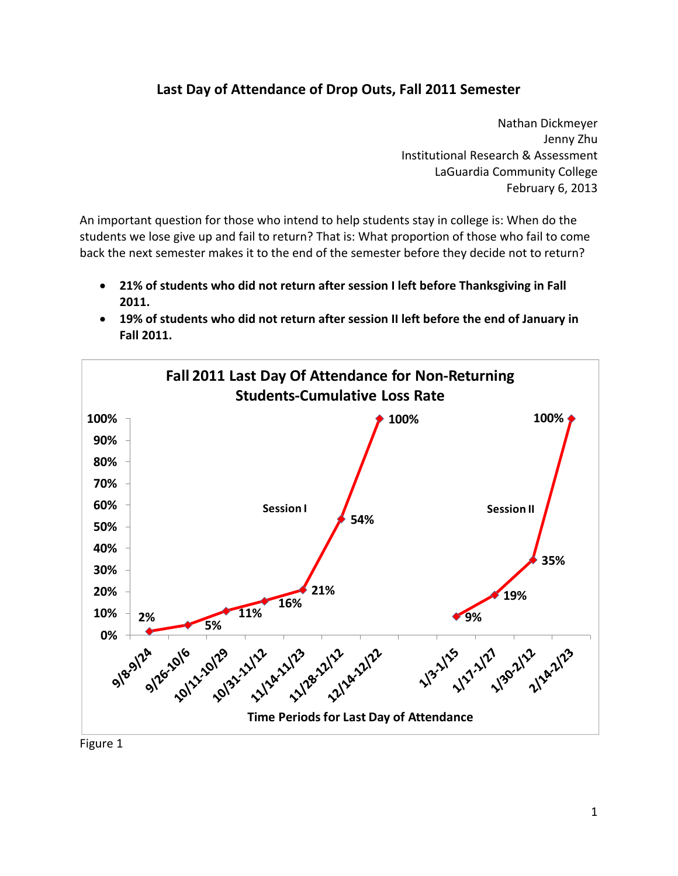## **Last Day of Attendance of Drop Outs, Fall 2011 Semester**

 Nathan Dickmeyer Jenny Zhu Institutional Research & Assessment LaGuardia Community College February 6, 2013

 An important question for those who intend to help students stay in college is: When do the students we lose give up and fail to return? That is: What proportion of those who fail to come back the next semester makes it to the end of the semester before they decide not to return?

- 21% of students who did not return after session I left before Thanksgiving in Fall **2011.**
- 19% of students who did not return after session II left before the end of January in  **Fall 2011.**